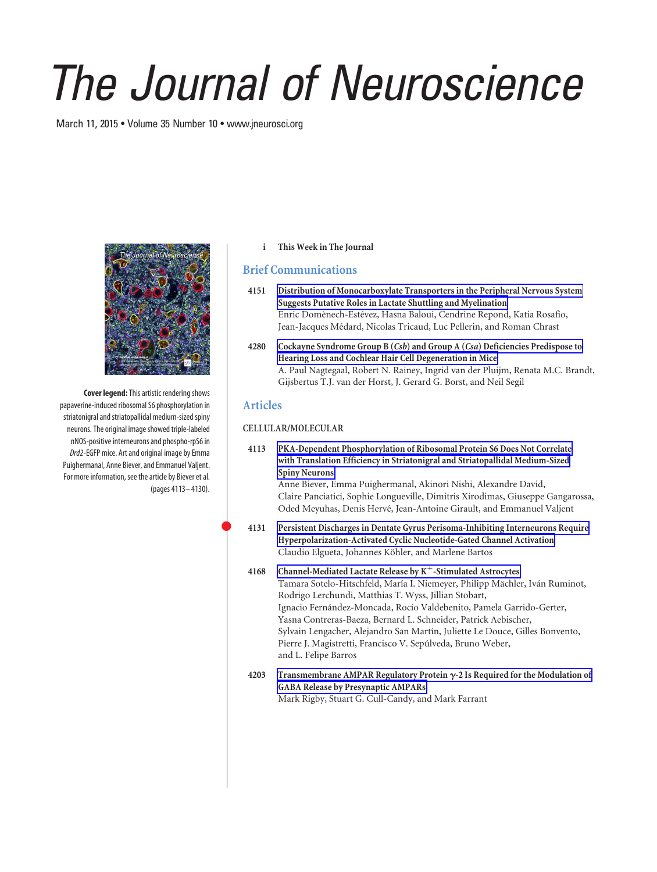# *The Journal of Neuroscience*

March 11, 2015 • Volume 35 Number 10 • www.jneurosci.org



**Cover legend:**This artistic rendering shows papaverine-induced ribosomal S6 phosphorylation in striatonigral and striatopallidal medium-sized spiny neurons. The original image showed triple-labeled nNOS-positive interneurons and phospho-rpS6 in *Drd2*-EGFP mice. Art and original image by Emma Puighermanal, Anne Biever, and Emmanuel Valjent. For more information, see the article by Biever et al. (pages 4113– 4130).

### **i This Week in The Journal**

# **Brief Communications**

- **4151 Distribution of Monocarboxylate Transporters in the Peripheral Nervous System Suggests Putative Roles in Lactate Shuttling and Myelination** Enric Domènech-Estévez, Hasna Baloui, Cendrine Repond, Katia Rosafio, Jean-Jacques Médard, Nicolas Tricaud, Luc Pellerin, and Roman Chrast
- **4280 Cockayne Syndrome Group B (***Csb***) and Group A (***Csa***) Deficiencies Predispose to Hearing Loss and Cochlear Hair Cell Degeneration in Mice** A. Paul Nagtegaal, Robert N. Rainey, Ingrid van der Pluijm, Renata M.C. Brandt, Gijsbertus T.J. van der Horst, J. Gerard G. Borst, and Neil Segil

# **Articles**

 $\bullet$ 

### **CELLULAR/MOLECULAR**

**4113 PKA-Dependent Phosphorylation of Ribosomal Protein S6 Does Not Correlate with Translation Efficiency in Striatonigral and Striatopallidal Medium-Sized Spiny Neurons**

Anne Biever, Emma Puighermanal, Akinori Nishi, Alexandre David, Claire Panciatici, Sophie Longueville, Dimitris Xirodimas, Giuseppe Gangarossa, Oded Meyuhas, Denis Hervé, Jean-Antoine Girault, and Emmanuel Valjent

- **4131 Persistent Discharges in Dentate Gyrus Perisoma-Inhibiting Interneurons Require Hyperpolarization-Activated Cyclic Nucleotide-Gated Channel Activation** Claudio Elgueta, Johannes Köhler, and Marlene Bartos
- **4168 Channel-Mediated Lactate Release by K**-**-Stimulated Astrocytes** Tamara Sotelo-Hitschfeld, María I. Niemeyer, Philipp Mächler, Iván Ruminot, Rodrigo Lerchundi, Matthias T. Wyss, Jillian Stobart, Ignacio Fernández-Moncada, Rocío Valdebenito, Pamela Garrido-Gerter, Yasna Contreras-Baeza, Bernard L. Schneider, Patrick Aebischer, Sylvain Lengacher, Alejandro San Martín, Juliette Le Douce, Gilles Bonvento, Pierre J. Magistretti, Francisco V. Sepúlveda, Bruno Weber, and L. Felipe Barros
- **4203 Transmembrane AMPAR Regulatory Protein -2 Is Required for the Modulation of GABA Release by Presynaptic AMPARs** Mark Rigby, Stuart G. Cull-Candy, and Mark Farrant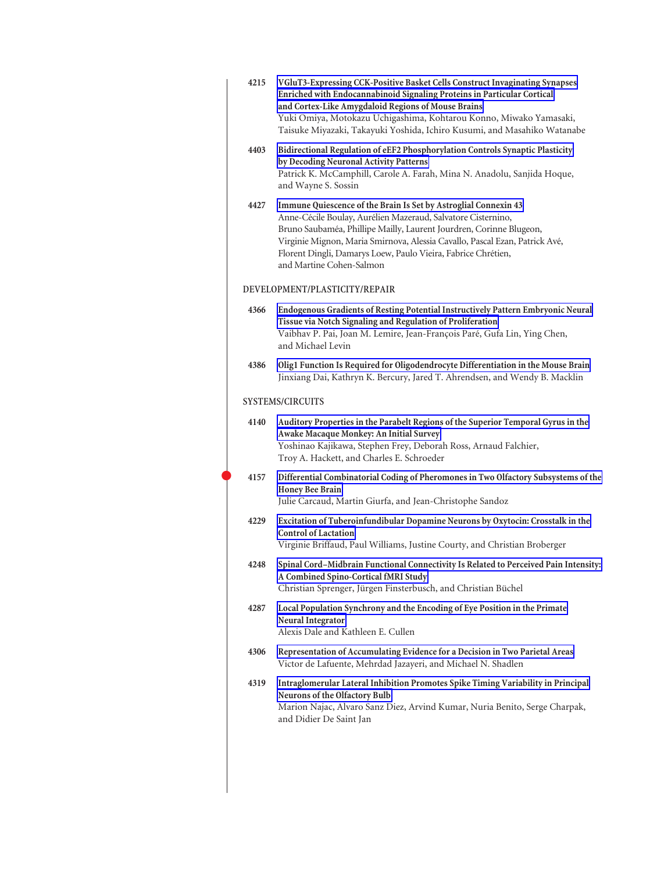| 4215 | VGluT3-Expressing CCK-Positive Basket Cells Construct Invaginating Synapses<br>Enriched with Endocannabinoid Signaling Proteins in Particular Cortical<br>and Cortex-Like Amygdaloid Regions of Mouse Brains<br>Yuki Omiya, Motokazu Uchigashima, Kohtarou Konno, Miwako Yamasaki,<br>Taisuke Miyazaki, Takayuki Yoshida, Ichiro Kusumi, and Masahiko Watanabe                     |
|------|------------------------------------------------------------------------------------------------------------------------------------------------------------------------------------------------------------------------------------------------------------------------------------------------------------------------------------------------------------------------------------|
| 4403 | Bidirectional Regulation of eEF2 Phosphorylation Controls Synaptic Plasticity<br>by Decoding Neuronal Activity Patterns<br>Patrick K. McCamphill, Carole A. Farah, Mina N. Anadolu, Sanjida Hoque,<br>and Wayne S. Sossin                                                                                                                                                          |
| 4427 | Immune Quiescence of the Brain Is Set by Astroglial Connexin 43<br>Anne-Cécile Boulay, Aurélien Mazeraud, Salvatore Cisternino,<br>Bruno Saubaméa, Phillipe Mailly, Laurent Jourdren, Corinne Blugeon,<br>Virginie Mignon, Maria Smirnova, Alessia Cavallo, Pascal Ezan, Patrick Avé,<br>Florent Dingli, Damarys Loew, Paulo Vieira, Fabrice Chrétien,<br>and Martine Cohen-Salmon |
|      | DEVELOPMENT/PLASTICITY/REPAIR                                                                                                                                                                                                                                                                                                                                                      |
| 4366 | Endogenous Gradients of Resting Potential Instructively Pattern Embryonic Neural<br>Tissue via Notch Signaling and Regulation of Proliferation<br>Vaibhav P. Pai, Joan M. Lemire, Jean-François Paré, Gufa Lin, Ying Chen,<br>and Michael Levin                                                                                                                                    |
| 4386 | Olig1 Function Is Required for Oligodendrocyte Differentiation in the Mouse Brain<br>Jinxiang Dai, Kathryn K. Bercury, Jared T. Ahrendsen, and Wendy B. Macklin                                                                                                                                                                                                                    |
|      | <b>SYSTEMS/CIRCUITS</b>                                                                                                                                                                                                                                                                                                                                                            |
| 4140 | Auditory Properties in the Parabelt Regions of the Superior Temporal Gyrus in the<br>Awake Macaque Monkey: An Initial Survey<br>Yoshinao Kajikawa, Stephen Frey, Deborah Ross, Arnaud Falchier,<br>Troy A. Hackett, and Charles E. Schroeder                                                                                                                                       |
| 4157 | Differential Combinatorial Coding of Pheromones in Two Olfactory Subsystems of the<br><b>Honey Bee Brain</b><br>Julie Carcaud, Martin Giurfa, and Jean-Christophe Sandoz                                                                                                                                                                                                           |
| 4229 | Excitation of Tuberoinfundibular Dopamine Neurons by Oxytocin: Crosstalk in the<br><b>Control of Lactation</b><br>Virginie Briffaud, Paul Williams, Justine Courty, and Christian Broberger                                                                                                                                                                                        |
| 4248 | Spinal Cord-Midbrain Functional Connectivity Is Related to Perceived Pain Intensity:<br>A Combined Spino-Cortical fMRI Study<br>Christian Sprenger, Jürgen Finsterbusch, and Christian Büchel                                                                                                                                                                                      |
| 4287 | Local Population Synchrony and the Encoding of Eye Position in the Primate<br>Neural Integrator<br>Alexis Dale and Kathleen E. Cullen                                                                                                                                                                                                                                              |
| 4306 | Representation of Accumulating Evidence for a Decision in Two Parietal Areas<br>Victor de Lafuente, Mehrdad Jazayeri, and Michael N. Shadlen                                                                                                                                                                                                                                       |
| 4319 | Intraglomerular Lateral Inhibition Promotes Spike Timing Variability in Principal<br>Neurons of the Olfactory Bulb<br>Marion Najac, Alvaro Sanz Diez, Arvind Kumar, Nuria Benito, Serge Charpak,<br>and Didier De Saint Jan                                                                                                                                                        |
|      |                                                                                                                                                                                                                                                                                                                                                                                    |

 $\bullet$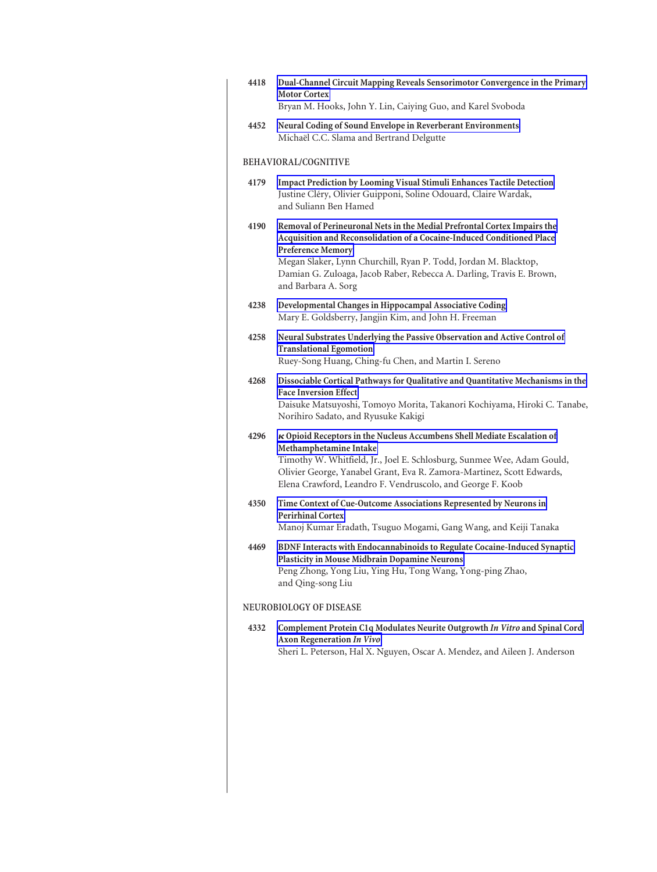| 4418                    | Dual-Channel Circuit Mapping Reveals Sensorimotor Convergence in the Primary<br><b>Motor Cortex</b><br>Bryan M. Hooks, John Y. Lin, Caiying Guo, and Karel Svoboda                                                                                                                                                                               |  |
|-------------------------|--------------------------------------------------------------------------------------------------------------------------------------------------------------------------------------------------------------------------------------------------------------------------------------------------------------------------------------------------|--|
| 4452                    | Neural Coding of Sound Envelope in Reverberant Environments<br>Michaël C.C. Slama and Bertrand Delgutte                                                                                                                                                                                                                                          |  |
| BEHAVIORAL/COGNITIVE    |                                                                                                                                                                                                                                                                                                                                                  |  |
| 4179                    | Impact Prediction by Looming Visual Stimuli Enhances Tactile Detection<br>Justine Cléry, Olivier Guipponi, Soline Odouard, Claire Wardak,<br>and Suliann Ben Hamed                                                                                                                                                                               |  |
| 4190                    | Removal of Perineuronal Nets in the Medial Prefrontal Cortex Impairs the<br>Acquisition and Reconsolidation of a Cocaine-Induced Conditioned Place<br><b>Preference Memory</b><br>Megan Slaker, Lynn Churchill, Ryan P. Todd, Jordan M. Blacktop,<br>Damian G. Zuloaga, Jacob Raber, Rebecca A. Darling, Travis E. Brown,<br>and Barbara A. Sorg |  |
| 4238                    | Developmental Changes in Hippocampal Associative Coding<br>Mary E. Goldsberry, Jangjin Kim, and John H. Freeman                                                                                                                                                                                                                                  |  |
| 4258                    | Neural Substrates Underlying the Passive Observation and Active Control of<br><b>Translational Egomotion</b><br>Ruey-Song Huang, Ching-fu Chen, and Martin I. Sereno                                                                                                                                                                             |  |
| 4268                    | Dissociable Cortical Pathways for Qualitative and Quantitative Mechanisms in the<br><b>Face Inversion Effect</b><br>Daisuke Matsuyoshi, Tomoyo Morita, Takanori Kochiyama, Hiroki C. Tanabe,<br>Norihiro Sadato, and Ryusuke Kakigi                                                                                                              |  |
| 4296                    | $\kappa$ Opioid Receptors in the Nucleus Accumbens Shell Mediate Escalation of<br>Methamphetamine Intake<br>Timothy W. Whitfield, Jr., Joel E. Schlosburg, Sunmee Wee, Adam Gould,<br>Olivier George, Yanabel Grant, Eva R. Zamora-Martinez, Scott Edwards,<br>Elena Crawford, Leandro F. Vendruscolo, and George F. Koob                        |  |
| 4350                    | Time Context of Cue-Outcome Associations Represented by Neurons in<br><b>Perirhinal Cortex</b><br>Manoj Kumar Eradath, Tsuguo Mogami, Gang Wang, and Keiji Tanaka                                                                                                                                                                                |  |
| 4469                    | BDNF Interacts with Endocannabinoids to Regulate Cocaine-Induced Synaptic<br>Plasticity in Mouse Midbrain Dopamine Neurons<br>Peng Zhong, Yong Liu, Ying Hu, Tong Wang, Yong-ping Zhao,<br>and Qing-song Liu                                                                                                                                     |  |
| NEUROBIOLOGY OF DISEASE |                                                                                                                                                                                                                                                                                                                                                  |  |
| 4332                    | Complement Protein C1q Modulates Neurite Outgrowth In Vitro and Spinal Cord<br><b>Axon Regeneration In Vivo</b><br>Sheri L. Peterson, Hal X. Nguyen, Oscar A. Mendez, and Aileen J. Anderson                                                                                                                                                     |  |